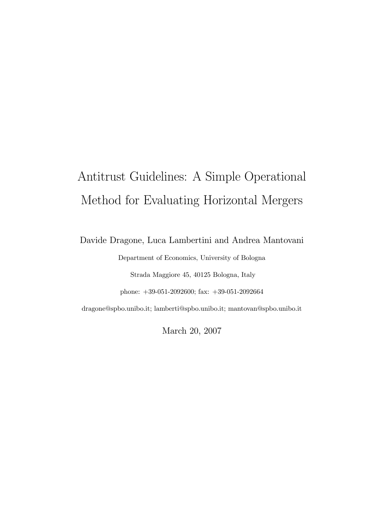# Antitrust Guidelines: A Simple Operational Method for Evaluating Horizontal Mergers

Davide Dragone, Luca Lambertini and Andrea Mantovani Department of Economics, University of Bologna Strada Maggiore 45, 40125 Bologna, Italy phone: +39-051-2092600; fax: +39-051-2092664 dragone@spbo.unibo.it; lamberti@spbo.unibo.it; mantovan@spbo.unibo.it

March 20, 2007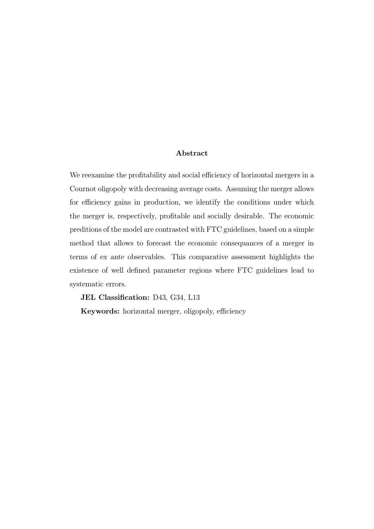#### Abstract

We reexamine the profitability and social efficiency of horizontal mergers in a Cournot oligopoly with decreasing average costs. Assuming the merger allows for efficiency gains in production, we identify the conditions under which the merger is, respectively, profitable and socially desirable. The economic preditions of the model are contrasted with FTC guidelines, based on a simple method that allows to forecast the economic consequances of a merger in terms of ex ante observables. This comparative assessment highlights the existence of well defined parameter regions where FTC guidelines lead to systematic errors.

JEL Classification: D43, G34, L13

Keywords: horizontal merger, oligopoly, efficiency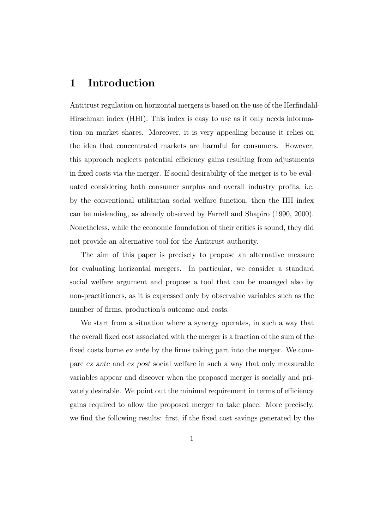## 1 Introduction

Antitrust regulation on horizontal mergers is based on the use of the Herfindahl-Hirschman index (HHI). This index is easy to use as it only needs information on market shares. Moreover, it is very appealing because it relies on the idea that concentrated markets are harmful for consumers. However, this approach neglects potential efficiency gains resulting from adjustments in fixed costs via the merger. If social desirability of the merger is to be evaluated considering both consumer surplus and overall industry profits, i.e. by the conventional utilitarian social welfare function, then the HH index can be misleading, as already observed by Farrell and Shapiro (1990, 2000). Nonetheless, while the economic foundation of their critics is sound, they did not provide an alternative tool for the Antitrust authority.

The aim of this paper is precisely to propose an alternative measure for evaluating horizontal mergers. In particular, we consider a standard social welfare argument and propose a tool that can be managed also by non-practitioners, as it is expressed only by observable variables such as the number of firms, production's outcome and costs.

We start from a situation where a synergy operates, in such a way that the overall fixed cost associated with the merger is a fraction of the sum of the fixed costs borne ex ante by the firms taking part into the merger. We compare ex ante and ex post social welfare in such a way that only measurable variables appear and discover when the proposed merger is socially and privately desirable. We point out the minimal requirement in terms of efficiency gains required to allow the proposed merger to take place. More precisely, we find the following results: first, if the fixed cost savings generated by the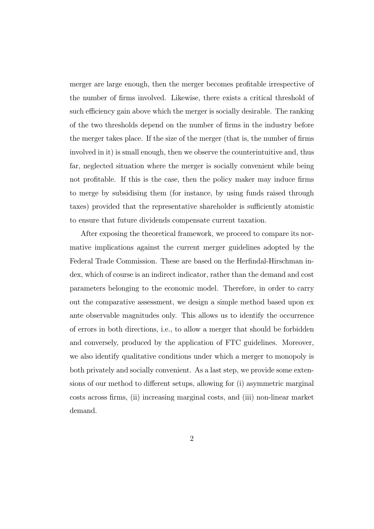merger are large enough, then the merger becomes profitable irrespective of the number of firms involved. Likewise, there exists a critical threshold of such efficiency gain above which the merger is socially desirable. The ranking of the two thresholds depend on the number of firms in the industry before the merger takes place. If the size of the merger (that is, the number of firms involved in it) is small enough, then we observe the counterintuitive and, thus far, neglected situation where the merger is socially convenient while being not profitable. If this is the case, then the policy maker may induce firms to merge by subsidising them (for instance, by using funds raised through taxes) provided that the representative shareholder is sufficiently atomistic to ensure that future dividends compensate current taxation.

After exposing the theoretical framework, we proceed to compare its normative implications against the current merger guidelines adopted by the Federal Trade Commission. These are based on the Herfindal-Hirschman index, which of course is an indirect indicator, rather than the demand and cost parameters belonging to the economic model. Therefore, in order to carry out the comparative assessment, we design a simple method based upon ex ante observable magnitudes only. This allows us to identify the occurrence of errors in both directions, i.e., to allow a merger that should be forbidden and conversely, produced by the application of FTC guidelines. Moreover, we also identify qualitative conditions under which a merger to monopoly is both privately and socially convenient. As a last step, we provide some extensions of our method to different setups, allowing for (i) asymmetric marginal costs across firms, (ii) increasing marginal costs, and (iii) non-linear market demand.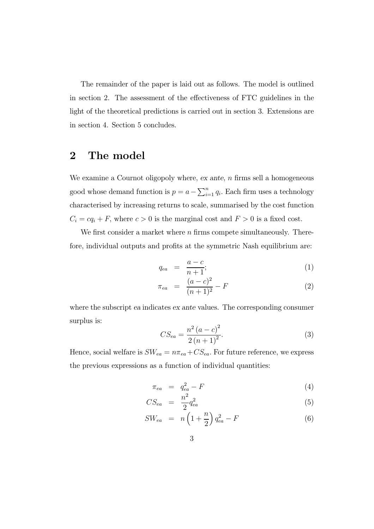The remainder of the paper is laid out as follows. The model is outlined in section 2. The assessment of the effectiveness of FTC guidelines in the light of the theoretical predictions is carried out in section 3. Extensions are in section 4. Section 5 concludes.

### 2 The model

We examine a Cournot oligopoly where,  $ex$  ante,  $n$  firms sell a homogeneous good whose demand function is  $p = a - \sum_{i=1}^{n} q_i$ . Each firm uses a technology characterised by increasing returns to scale, summarised by the cost function  $C_i = cq_i + F$ , where  $c > 0$  is the marginal cost and  $F > 0$  is a fixed cost.

We first consider a market where  $n$  firms compete simultaneously. Therefore, individual outputs and profits at the symmetric Nash equilibrium are:

$$
q_{ea} = \frac{a-c}{n+1};\tag{1}
$$

$$
\pi_{ea} = \frac{(a-c)^2}{(n+1)^2} - F \tag{2}
$$

where the subscript ea indicates ex ante values. The corresponding consumer surplus is:

$$
CS_{ea} = \frac{n^2 (a - c)^2}{2 (n + 1)^2}.
$$
\n(3)

Hence, social welfare is  $SW_{ea} = n\pi_{ea} + CS_{ea}$ . For future reference, we express the previous expressions as a function of individual quantities:

$$
\pi_{ea} = q_{ea}^2 - F \tag{4}
$$

$$
CS_{ea} = \frac{n^2}{2}q_{ea}^2 \tag{5}
$$

$$
SW_{ea} = n\left(1 + \frac{n}{2}\right)q_{ea}^2 - F \tag{6}
$$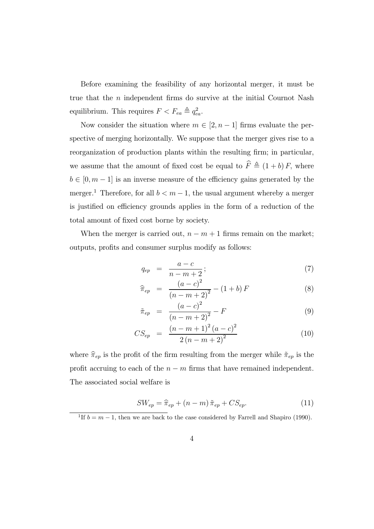Before examining the feasibility of any horizontal merger, it must be true that the n independent firms do survive at the initial Cournot Nash equilibrium. This requires  $F < F_{ea} \triangleq q_{ea}^2$ .

Now consider the situation where  $m \in [2, n-1]$  firms evaluate the perspective of merging horizontally. We suppose that the merger gives rise to a reorganization of production plants within the resulting firm; in particular, we assume that the amount of fixed cost be equal to  $\widehat{F} \triangleq (1 + b) F$ , where  $b \in [0, m - 1]$  is an inverse measure of the efficiency gains generated by the merger.<sup>1</sup> Therefore, for all  $b < m - 1$ , the usual argument whereby a merger is justified on efficiency grounds applies in the form of a reduction of the total amount of fixed cost borne by society.

When the merger is carried out,  $n - m + 1$  firms remain on the market; outputs, profits and consumer surplus modify as follows:

$$
q_{ep} = \frac{a-c}{n-m+2};\tag{7}
$$

$$
\widehat{\pi}_{ep} = \frac{(a-c)^2}{(n-m+2)^2} - (1+b) F \tag{8}
$$

$$
\tilde{\pi}_{ep} = \frac{(a-c)^2}{(n-m+2)^2} - F \tag{9}
$$

$$
CS_{ep} = \frac{(n-m+1)^2 (a-c)^2}{2 (n-m+2)^2}
$$
 (10)

where  $\hat{\pi}_{ep}$  is the profit of the firm resulting from the merger while  $\tilde{\pi}_{ep}$  is the profit accruing to each of the  $n - m$  firms that have remained independent. The associated social welfare is

$$
SW_{ep} = \hat{\pi}_{ep} + (n - m)\,\tilde{\pi}_{ep} + CS_{ep}.\tag{11}
$$

<sup>&</sup>lt;sup>1</sup>If  $b = m - 1$ , then we are back to the case considered by Farrell and Shapiro (1990).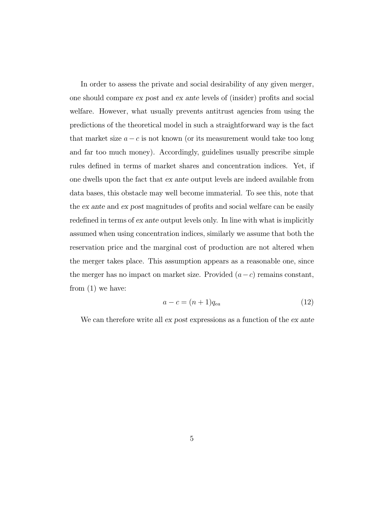In order to assess the private and social desirability of any given merger, one should compare ex post and ex ante levels of (insider) profits and social welfare. However, what usually prevents antitrust agencies from using the predictions of the theoretical model in such a straightforward way is the fact that market size  $a - c$  is not known (or its measurement would take too long and far too much money). Accordingly, guidelines usually prescribe simple rules defined in terms of market shares and concentration indices. Yet, if one dwells upon the fact that ex ante output levels are indeed available from data bases, this obstacle may well become immaterial. To see this, note that the ex ante and ex post magnitudes of profits and social welfare can be easily redefined in terms of ex ante output levels only. In line with what is implicitly assumed when using concentration indices, similarly we assume that both the reservation price and the marginal cost of production are not altered when the merger takes place. This assumption appears as a reasonable one, since the merger has no impact on market size. Provided  $(a-c)$  remains constant, from (1) we have:

$$
a - c = (n+1)q_{ea} \tag{12}
$$

We can therefore write all ex post expressions as a function of the ex ante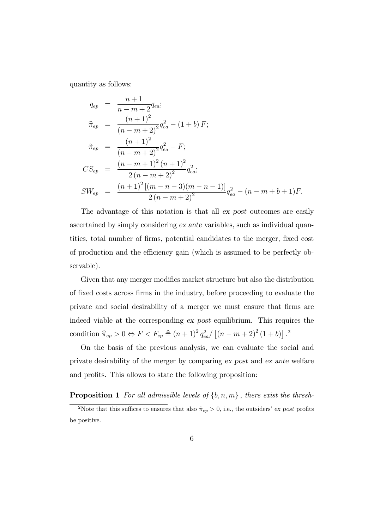quantity as follows:

$$
q_{ep} = \frac{n+1}{n-m+2} q_{ea};
$$
  
\n
$$
\hat{\pi}_{ep} = \frac{(n+1)^2}{(n-m+2)^2} q_{ea}^2 - (1+b) F;
$$
  
\n
$$
\tilde{\pi}_{ep} = \frac{(n+1)^2}{(n-m+2)^2} q_{ea}^2 - F;
$$
  
\n
$$
CS_{ep} = \frac{(n-m+1)^2 (n+1)^2}{2 (n-m+2)^2} q_{ea}^2;
$$
  
\n
$$
SW_{ep} = \frac{(n+1)^2 [(m-n-3)(m-n-1)]}{2 (n-m+2)^2} q_{ea}^2 - (n-m+b+1) F.
$$

The advantage of this notation is that all ex post outcomes are easily ascertained by simply considering ex ante variables, such as individual quantities, total number of firms, potential candidates to the merger, fixed cost of production and the efficiency gain (which is assumed to be perfectly observable).

Given that any merger modifies market structure but also the distribution of fixed costs across firms in the industry, before proceeding to evaluate the private and social desirability of a merger we must ensure that firms are indeed viable at the corresponding ex post equilibrium. This requires the condition  $\hat{\pi}_{ep} > 0 \Leftrightarrow F < F_{ep} \triangleq (n+1)^2 q_{ea}^2 / [(n-m+2)^2 (1+b)]$ .<sup>2</sup>

On the basis of the previous analysis, we can evaluate the social and private desirability of the merger by comparing ex post and ex ante welfare and profits. This allows to state the following proposition:

**Proposition 1** For all admissible levels of  $\{b, n, m\}$ , there exist the thresh-

<sup>&</sup>lt;sup>2</sup>Note that this suffices to ensures that also  $\tilde{\pi}_{ep} > 0$ , i.e., the outsiders' ex post profits be positive.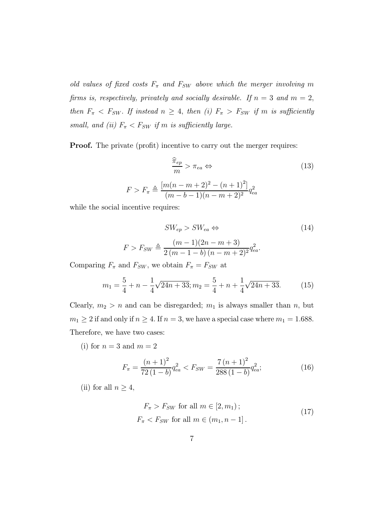old values of fixed costs  $F_{\pi}$  and  $F_{SW}$  above which the merger involving m firms is, respectively, privately and socially desirable. If  $n = 3$  and  $m = 2$ , then  $F_{\pi}$  <  $F_{SW}$ . If instead  $n \geq 4$ , then (i)  $F_{\pi} > F_{SW}$  if m is sufficiently small, and (ii)  $F_{\pi} < F_{SW}$  if m is sufficiently large.

**Proof.** The private (profit) incentive to carry out the merger requires:

$$
\frac{\widehat{\pi}_{ep}}{m} > \pi_{ea} \Leftrightarrow
$$
\n
$$
F > F_{\pi} \triangleq \frac{[m(n-m+2)^{2} - (n+1)^{2}]}{(m-b-1)(n-m+2)^{2}} q_{ea}^{2}
$$
\n(13)

while the social incentive requires:

$$
SW_{ep} > SW_{ea} \Leftrightarrow \t\t(14)
$$

$$
F > F_{SW} \triangleq \frac{(m-1)(2n-m+3)}{2(m-1-b)(n-m+2)^2} q_{ea}^2.
$$

Comparing  $F_{\pi}$  and  $F_{SW}$ , we obtain  $F_{\pi} = F_{SW}$  at

$$
m_1 = \frac{5}{4} + n - \frac{1}{4}\sqrt{24n + 33}; m_2 = \frac{5}{4} + n + \frac{1}{4}\sqrt{24n + 33}.
$$
 (15)

Clearly,  $m_2 > n$  and can be disregarded;  $m_1$  is always smaller than n, but  $m_1 \geq 2$  if and only if  $n \geq 4$ . If  $n = 3$ , we have a special case where  $m_1 = 1.688$ . Therefore, we have two cases:

(i) for  $n = 3$  and  $m = 2$ 

$$
F_{\pi} = \frac{\left(n+1\right)^{2}}{72\left(1-b\right)} q_{ea}^{2} < F_{SW} = \frac{7\left(n+1\right)^{2}}{288\left(1-b\right)} q_{ea}^{2};\tag{16}
$$

(ii) for all  $n \geq 4$ ,

$$
F_{\pi} > F_{SW} \text{ for all } m \in [2, m_1);
$$
  

$$
F_{\pi} < F_{SW} \text{ for all } m \in (m_1, n-1].
$$
 (17)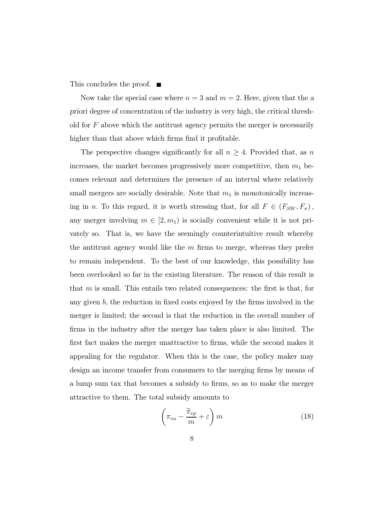This concludes the proof.  $\blacksquare$ 

Now take the special case where  $n = 3$  and  $m = 2$ . Here, given that the a priori degree of concentration of the industry is very high, the critical threshold for  $F$  above which the antitrust agency permits the merger is necessarily higher than that above which firms find it profitable.

The perspective changes significantly for all  $n \geq 4$ . Provided that, as n increases, the market becomes progressively more competitive, then  $m_1$  becomes relevant and determines the presence of an interval where relatively small mergers are socially desirable. Note that  $m_1$  is monotonically increasing in n. To this regard, it is worth stressing that, for all  $F \in (F_{SW}, F_{\pi}),$ any merger involving  $m \in [2, m_1)$  is socially convenient while it is not privately so. That is, we have the seemingly counterintuitive result whereby the antitrust agency would like the  $m$  firms to merge, whereas they prefer to remain independent. To the best of our knowledge, this possibility has been overlooked so far in the existing literature. The reason of this result is that  $m$  is small. This entails two related consequences: the first is that, for any given b, the reduction in fixed costs enjoyed by the firms involved in the merger is limited; the second is that the reduction in the overall number of firms in the industry after the merger has taken place is also limited. The first fact makes the merger unattractive to firms, while the second makes it appealing for the regulator. When this is the case, the policy maker may design an income transfer from consumers to the merging firms by means of a lump sum tax that becomes a subsidy to firms, so as to make the merger attractive to them. The total subsidy amounts to

$$
\left(\pi_{ea} - \frac{\widehat{\pi}_{ep}}{m} + \varepsilon\right)m\tag{18}
$$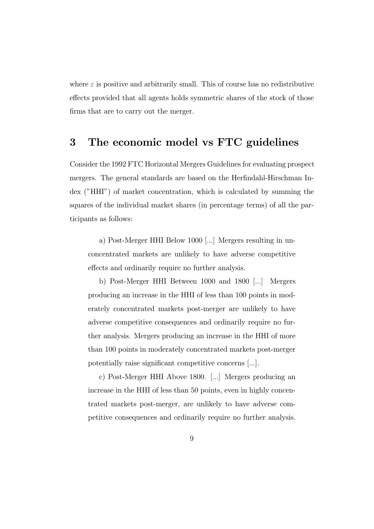where  $\varepsilon$  is positive and arbitrarily small. This of course has no redistributive effects provided that all agents holds symmetric shares of the stock of those firms that are to carry out the merger.

### 3 The economic model vs FTC guidelines

Consider the 1992 FTC Horizontal Mergers Guidelines for evaluating prospect mergers. The general standards are based on the Herfindahl-Hirschman Index ("HHI") of market concentration, which is calculated by summing the squares of the individual market shares (in percentage terms) of all the participants as follows:

a) Post-Merger HHI Below 1000 [...] Mergers resulting in unconcentrated markets are unlikely to have adverse competitive effects and ordinarily require no further analysis.

b) Post-Merger HHI Between 1000 and 1800 [...] Mergers producing an increase in the HHI of less than 100 points in moderately concentrated markets post-merger are unlikely to have adverse competitive consequences and ordinarily require no further analysis. Mergers producing an increase in the HHI of more than 100 points in moderately concentrated markets post-merger potentially raise significant competitive concerns [...].

c) Post-Merger HHI Above 1800. [...] Mergers producing an increase in the HHI of less than 50 points, even in highly concentrated markets post-merger, are unlikely to have adverse competitive consequences and ordinarily require no further analysis.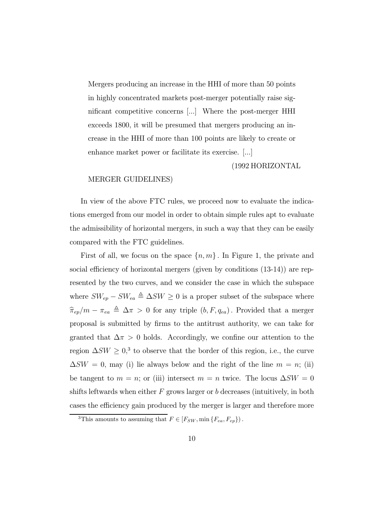Mergers producing an increase in the HHI of more than 50 points in highly concentrated markets post-merger potentially raise significant competitive concerns [...] Where the post-merger HHI exceeds 1800, it will be presumed that mergers producing an increase in the HHI of more than 100 points are likely to create or enhance market power or facilitate its exercise. [...]

(1992 HORIZONTAL

#### MERGER GUIDELINES)

In view of the above FTC rules, we proceed now to evaluate the indications emerged from our model in order to obtain simple rules apt to evaluate the admissibility of horizontal mergers, in such a way that they can be easily compared with the FTC guidelines.

First of all, we focus on the space  $\{n, m\}$ . In Figure 1, the private and social efficiency of horizontal mergers (given by conditions (13-14)) are represented by the two curves, and we consider the case in which the subspace where  $SW_{ep} - SW_{ea} \triangleq \Delta SW \geq 0$  is a proper subset of the subspace where  $\hat{\pi}_{ep}/m - \pi_{ea} \triangleq \Delta \pi > 0$  for any triple  $(b, F, q_{ea})$ . Provided that a merger proposal is submitted by firms to the antitrust authority, we can take for granted that  $\Delta \pi > 0$  holds. Accordingly, we confine our attention to the region  $\Delta SW \geq 0,^3$  to observe that the border of this region, i.e., the curve  $\Delta SW = 0$ , may (i) lie always below and the right of the line  $m = n$ ; (ii) be tangent to  $m = n$ ; or (iii) intersect  $m = n$  twice. The locus  $\Delta SW = 0$ shifts leftwards when either  $F$  grows larger or  $b$  decreases (intuitively, in both cases the efficiency gain produced by the merger is larger and therefore more

<sup>&</sup>lt;sup>3</sup>This amounts to assuming that  $F \in [F_{SW}, \min\{F_{ea}, F_{ep}\})$ .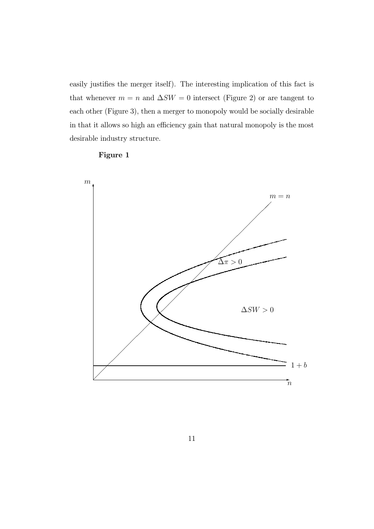easily justifies the merger itself). The interesting implication of this fact is that whenever  $m = n$  and  $\Delta SW = 0$  intersect (Figure 2) or are tangent to each other (Figure 3), then a merger to monopoly would be socially desirable in that it allows so high an efficiency gain that natural monopoly is the most desirable industry structure.



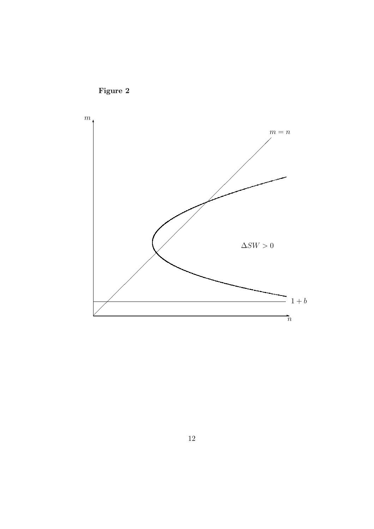

Figure 2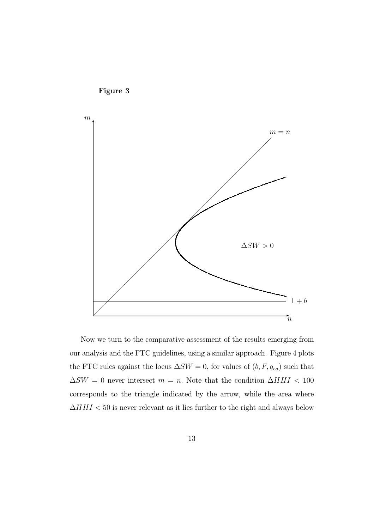

Now we turn to the comparative assessment of the results emerging from our analysis and the FTC guidelines, using a similar approach. Figure 4 plots the FTC rules against the locus  $\Delta SW = 0$ , for values of  $(b, F, q_{ea})$  such that  $\Delta SW = 0$  never intersect  $m = n$ . Note that the condition  $\Delta HHI < 100$ corresponds to the triangle indicated by the arrow, while the area where  $\Delta H H I < 50$  is never relevant as it lies further to the right and always below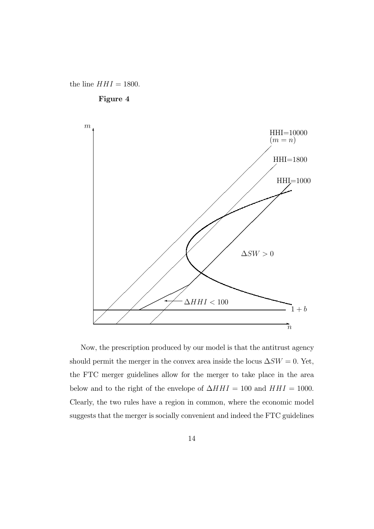the line  $HHI = 1800$ .





Now, the prescription produced by our model is that the antitrust agency should permit the merger in the convex area inside the locus  $\Delta SW = 0$ . Yet, the FTC merger guidelines allow for the merger to take place in the area below and to the right of the envelope of  $\Delta H H I = 100$  and  $H H I = 1000$ . Clearly, the two rules have a region in common, where the economic model suggests that the merger is socially convenient and indeed the FTC guidelines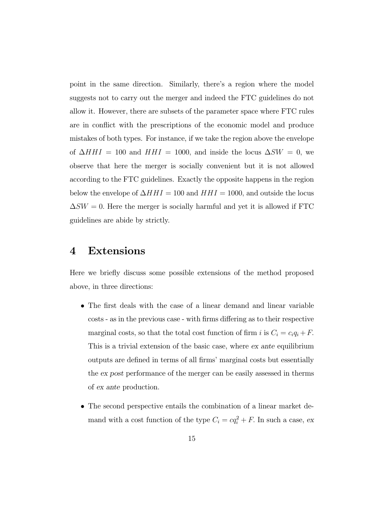point in the same direction. Similarly, there's a region where the model suggests not to carry out the merger and indeed the FTC guidelines do not allow it. However, there are subsets of the parameter space where FTC rules are in conflict with the prescriptions of the economic model and produce mistakes of both types. For instance, if we take the region above the envelope of  $\Delta H H I = 100$  and  $H H I = 1000$ , and inside the locus  $\Delta SW = 0$ , we observe that here the merger is socially convenient but it is not allowed according to the FTC guidelines. Exactly the opposite happens in the region below the envelope of  $\Delta H H I = 100$  and  $H H I = 1000$ , and outside the locus  $\Delta SW = 0$ . Here the merger is socially harmful and yet it is allowed if FTC guidelines are abide by strictly.

#### 4 Extensions

Here we briefly discuss some possible extensions of the method proposed above, in three directions:

- The first deals with the case of a linear demand and linear variable costs - as in the previous case - with firms differing as to their respective marginal costs, so that the total cost function of firm i is  $C_i = c_i q_i + F$ . This is a trivial extension of the basic case, where ex ante equilibrium outputs are defined in terms of all firms' marginal costs but essentially the ex post performance of the merger can be easily assessed in therms of ex ante production.
- The second perspective entails the combination of a linear market demand with a cost function of the type  $C_i = cq_i^2 + F$ . In such a case, ex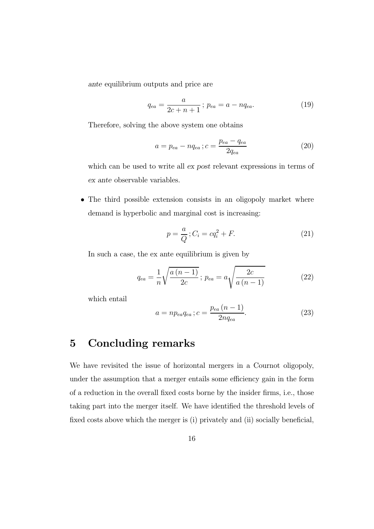ante equilibrium outputs and price are

$$
q_{ea} = \frac{a}{2c + n + 1}; \, p_{ea} = a - nq_{ea}.\tag{19}
$$

Therefore, solving the above system one obtains

$$
a = p_{ea} - nq_{ea}; c = \frac{p_{ea} - q_{ea}}{2q_{ea}}
$$
 (20)

which can be used to write all ex post relevant expressions in terms of ex ante observable variables.

• The third possible extension consists in an oligopoly market where demand is hyperbolic and marginal cost is increasing:

$$
p = \frac{a}{Q}; C_i = cq_i^2 + F.
$$
 (21)

In such a case, the ex ante equilibrium is given by

$$
q_{ea} = \frac{1}{n} \sqrt{\frac{a(n-1)}{2c}}; p_{ea} = a \sqrt{\frac{2c}{a(n-1)}}
$$
 (22)

which entail

$$
a = np_{ea}q_{ea}; c = \frac{p_{ea}(n-1)}{2nq_{ea}}.
$$
 (23)

#### 5 Concluding remarks

We have revisited the issue of horizontal mergers in a Cournot oligopoly, under the assumption that a merger entails some efficiency gain in the form of a reduction in the overall fixed costs borne by the insider firms, i.e., those taking part into the merger itself. We have identified the threshold levels of fixed costs above which the merger is (i) privately and (ii) socially beneficial,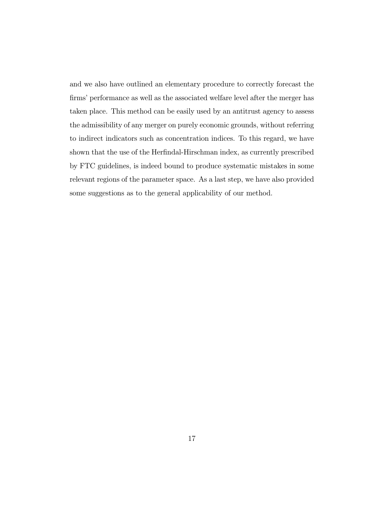and we also have outlined an elementary procedure to correctly forecast the firms' performance as well as the associated welfare level after the merger has taken place. This method can be easily used by an antitrust agency to assess the admissibility of any merger on purely economic grounds, without referring to indirect indicators such as concentration indices. To this regard, we have shown that the use of the Herfindal-Hirschman index, as currently prescribed by FTC guidelines, is indeed bound to produce systematic mistakes in some relevant regions of the parameter space. As a last step, we have also provided some suggestions as to the general applicability of our method.